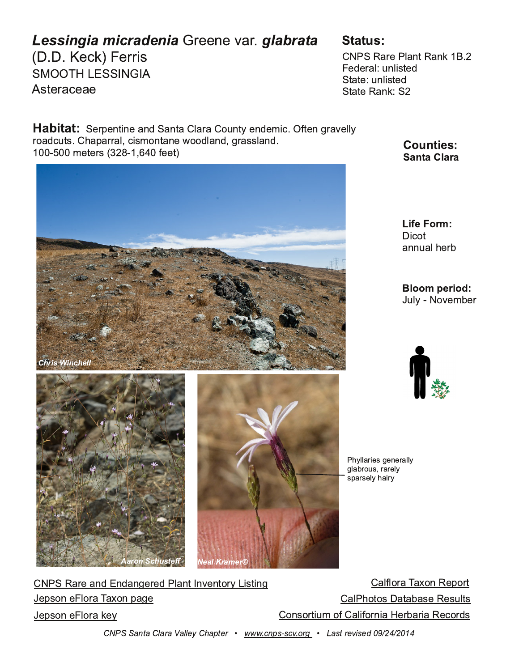$7, 4, ; (7)$ 

 $, *1, 778$ 

 $$1!%$  \$\$  $89\pi^*$ , (,

" $$$  #(7, "249#(41)  $, +, 7(2:42B9 +$  $$99 : 4209 +$  $$99# (41 $$ 

 $$, 76, 499, (4 + $149, 27, 5:49, 4 + 30, 94.7; 28]$  $\overline{75}$ (+\*: 98 / (6( $\overline{77}$  2 \* 083 549 4, <55+2 4+  $\overline{.7}$  882 4+  $3,978$  $-$ , , 9

> $059$  $(44: (2/7)$

 $: 2, 5, 3), 7$ 

" / > 21( 70 8 . , 4, 7( 22)<br>. 2( ) 75: 8 7( 7, 2>  $86(78, 2)$  (05

 $(2257 \, \% = 54 #, 6579)$  $\sqrt{5}$  # (7, (4+ 4+ (4., 7, + " 2(494;, 4957> 88934).  $(2/5958)$   $(9)(8, #, 8:28)$  $,6854, 257$  % = 54 6(... 54857903 5- (205740), 7) (70 #, \*57+8  $,6854, 257$  1,  $>$